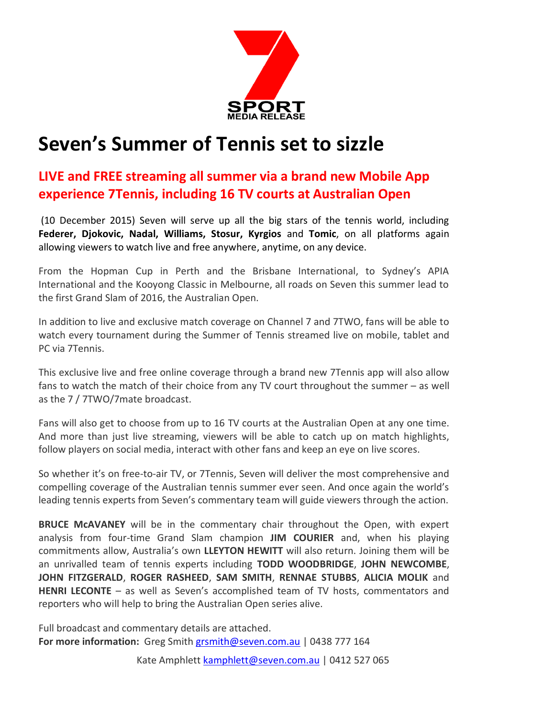

# **Seven's Summer of Tennis set to sizzle**

# **LIVE and FREE streaming all summer via a brand new Mobile App experience 7Tennis, including 16 TV courts at Australian Open**

(10 December 2015) Seven will serve up all the big stars of the tennis world, including **Federer, Djokovic, Nadal, Williams, Stosur, Kyrgios** and **Tomic**, on all platforms again allowing viewers to watch live and free anywhere, anytime, on any device.

From the Hopman Cup in Perth and the Brisbane International, to Sydney's APIA International and the Kooyong Classic in Melbourne, all roads on Seven this summer lead to the first Grand Slam of 2016, the Australian Open.

In addition to live and exclusive match coverage on Channel 7 and 7TWO, fans will be able to watch every tournament during the Summer of Tennis streamed live on mobile, tablet and PC via 7Tennis.

This exclusive live and free online coverage through a brand new 7Tennis app will also allow fans to watch the match of their choice from any TV court throughout the summer – as well as the 7 / 7TWO/7mate broadcast.

Fans will also get to choose from up to 16 TV courts at the Australian Open at any one time. And more than just live streaming, viewers will be able to catch up on match highlights, follow players on social media, interact with other fans and keep an eye on live scores.

So whether it's on free-to-air TV, or 7Tennis, Seven will deliver the most comprehensive and compelling coverage of the Australian tennis summer ever seen. And once again the world's leading tennis experts from Seven's commentary team will guide viewers through the action.

**BRUCE McAVANEY** will be in the commentary chair throughout the Open, with expert analysis from four-time Grand Slam champion **JIM COURIER** and, when his playing commitments allow, Australia's own **LLEYTON HEWITT** will also return. Joining them will be an unrivalled team of tennis experts including **TODD WOODBRIDGE**, **JOHN NEWCOMBE**, **JOHN FITZGERALD**, **ROGER RASHEED**, **SAM SMITH**, **RENNAE STUBBS**, **ALICIA MOLIK** and **HENRI LECONTE** – as well as Seven's accomplished team of TV hosts, commentators and reporters who will help to bring the Australian Open series alive.

Full broadcast and commentary details are attached. For more information: Greg Smith [grsmith@seven.com.au](mailto:grsmith@seven.com.au) | 0438 777 164

Kate Amphlett [kamphlett@seven.com.au](mailto:kamphlett@seven.com.au) | 0412 527 065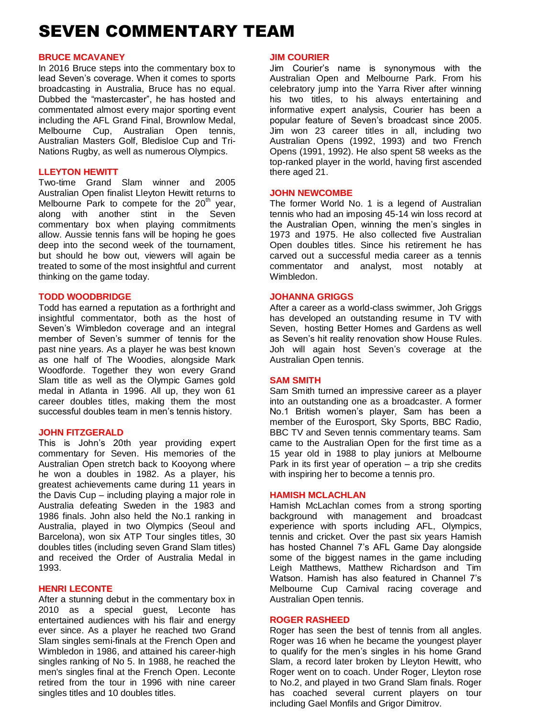# SEVEN COMMENTARY TEAM

### **BRUCE MCAVANEY**

In 2016 Bruce steps into the commentary box to lead Seven's coverage. When it comes to sports broadcasting in Australia, Bruce has no equal. Dubbed the "mastercaster", he has hosted and commentated almost every major sporting event including the AFL Grand Final, Brownlow Medal, Melbourne Cup, Australian Open tennis, Australian Masters Golf, Bledisloe Cup and Tri-Nations Rugby, as well as numerous Olympics.

### **LLEYTON HEWITT**

Two-time Grand Slam winner and 2005 Australian Open finalist Lleyton Hewitt returns to Melbourne Park to compete for the  $20<sup>th</sup>$  year, along with another stint in the Seven commentary box when playing commitments allow. Aussie tennis fans will be hoping he goes deep into the second week of the tournament, but should he bow out, viewers will again be treated to some of the most insightful and current thinking on the game today.

### **TODD WOODBRIDGE**

Todd has earned a reputation as a forthright and insightful commentator, both as the host of Seven's Wimbledon coverage and an integral member of Seven's summer of tennis for the past nine years. As a player he was best known as one half of The Woodies, alongside Mark Woodforde. Together they won every Grand Slam title as well as the Olympic Games gold medal in Atlanta in 1996. All up, they won 61 career doubles titles, making them the most successful doubles team in men's tennis history.

### **JOHN FITZGERALD**

This is John's 20th year providing expert commentary for Seven. His memories of the Australian Open stretch back to Kooyong where he won a doubles in 1982. As a player, his greatest achievements came during 11 years in the Davis Cup – including playing a major role in Australia defeating Sweden in the 1983 and 1986 finals. John also held the No.1 ranking in Australia, played in two Olympics (Seoul and Barcelona), won six ATP Tour singles titles, 30 doubles titles (including seven Grand Slam titles) and received the Order of Australia Medal in 1993.

#### **HENRI LECONTE**

After a stunning debut in the commentary box in 2010 as a special guest, Leconte has entertained audiences with his flair and energy ever since. As a player he reached two Grand Slam singles semi-finals at the French Open and [Wimbledon](http://en.wikipedia.org/wiki/Wimbledon_Championships) in 1986, and attained his career-high singles ranking of No 5. In 1988, he reached the men's singles final at the French Open. Leconte retired from the tour in 1996 with nine career singles titles and 10 doubles titles.

### **JIM COURIER**

Jim Courier's name is synonymous with the Australian Open and Melbourne Park. From his celebratory jump into the Yarra River after winning his two titles, to his always entertaining and informative expert analysis, Courier has been a popular feature of Seven's broadcast since 2005. Jim won 23 career titles in all, including two Australian Opens (1992, 1993) and two French Opens (1991, 1992). He also spent 58 weeks as the top-ranked player in the world, having first ascended there aged 21.

#### **JOHN NEWCOMBE**

The former World No. 1 is a legend of Australian tennis who had an imposing 45-14 win loss record at the Australian Open, winning the men's singles in 1973 and 1975. He also collected five Australian Open doubles titles. Since his retirement he has carved out a successful media career as a tennis commentator and analyst, most notably at Wimbledon.

#### **JOHANNA GRIGGS**

After a career as a world-class swimmer, Joh Griggs has developed an outstanding resume in TV with Seven, hosting Better Homes and Gardens as well as Seven's hit reality renovation show House Rules. Joh will again host Seven's coverage at the Australian Open tennis.

### **SAM SMITH**

Sam Smith turned an impressive career as a player into an outstanding one as a broadcaster. A former No.1 British women's player, Sam has been a member of the Eurosport, Sky Sports, BBC Radio, BBC TV and Seven tennis commentary teams. Sam came to the Australian Open for the first time as a 15 year old in 1988 to play juniors at Melbourne Park in its first year of operation – a trip she credits with inspiring her to become a tennis pro.

#### **HAMISH MCLACHLAN**

Hamish McLachlan comes from a strong sporting background with management and broadcast experience with sports including AFL, Olympics, tennis and cricket. Over the past six years Hamish has hosted Channel 7's AFL Game Day alongside some of the biggest names in the game including Leigh Matthews, Matthew Richardson and Tim Watson. Hamish has also featured in Channel 7's Melbourne Cup Carnival racing coverage and Australian Open tennis.

#### **ROGER RASHEED**

Roger has seen the best of tennis from all angles. Roger was 16 when he became the youngest player to qualify for the men's singles in his home Grand Slam, a record later broken by Lleyton Hewitt, who Roger went on to coach. Under Roger, Lleyton rose to No.2, and played in two Grand Slam finals. Roger has coached several current players on tour including Gael Monfils and Grigor Dimitrov.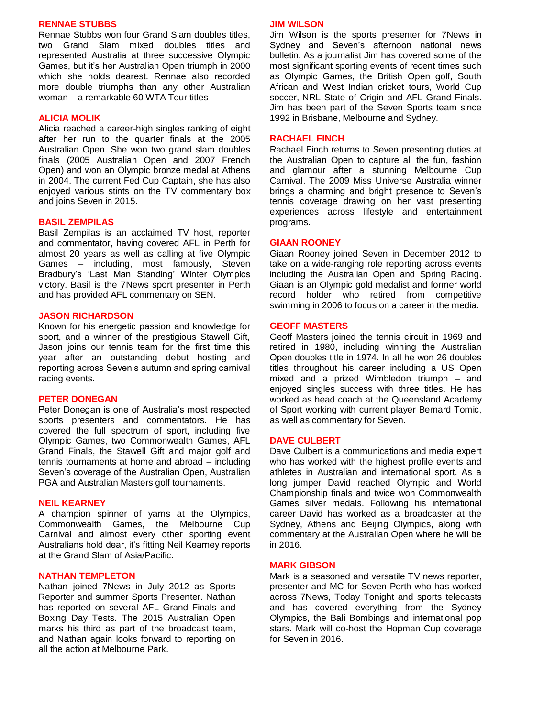#### **RENNAE STUBBS**

Rennae Stubbs won four Grand Slam doubles titles, two Grand Slam mixed doubles titles and represented Australia at three successive Olympic Games, but it's her Australian Open triumph in 2000 which she holds dearest. Rennae also recorded more double triumphs than any other Australian woman – a remarkable 60 WTA Tour titles

#### **ALICIA MOLIK**

Alicia reached a career-high singles ranking of eight after her run to the quarter finals at the 2005 Australian Open. She won two grand slam doubles finals (2005 Australian Open and 2007 French Open) and won an Olympic bronze medal at Athens in 2004. The current Fed Cup Captain, she has also enjoyed various stints on the TV commentary box and joins Seven in 2015.

#### **BASIL ZEMPILAS**

Basil Zempilas is an acclaimed TV host, reporter and commentator, having covered AFL in Perth for almost 20 years as well as calling at five Olympic Games – including, most famously, Steven Bradbury's 'Last Man Standing' Winter Olympics victory. Basil is the 7News sport presenter in Perth and has provided AFL commentary on SEN.

#### **JASON RICHARDSON**

Known for his energetic passion and knowledge for sport, and a winner of the prestigious Stawell Gift, Jason joins our tennis team for the first time this year after an outstanding debut hosting and reporting across Seven's autumn and spring carnival racing events.

#### **PETER DONEGAN**

Peter Donegan is one of Australia's most respected sports presenters and commentators. He has covered the full spectrum of sport, including five Olympic Games, two Commonwealth Games, AFL Grand Finals, the Stawell Gift and major golf and tennis tournaments at home and abroad – including Seven's coverage of the Australian Open, Australian PGA and Australian Masters golf tournaments.

#### **NEIL KEARNEY**

A champion spinner of yarns at the Olympics, Commonwealth Games, the Melbourne Cup Carnival and almost every other sporting event Australians hold dear, it's fitting Neil Kearney reports at the Grand Slam of Asia/Pacific.

#### **NATHAN TEMPLETON**

Nathan joined 7News in July 2012 as Sports Reporter and summer Sports Presenter. Nathan has reported on several AFL Grand Finals and Boxing Day Tests. The 2015 Australian Open marks his third as part of the broadcast team, and Nathan again looks forward to reporting on all the action at Melbourne Park.

#### **JIM WILSON**

Jim Wilson is the sports presenter for 7News in Sydney and Seven's afternoon national news bulletin. As a journalist Jim has covered some of the most significant sporting events of recent times such as Olympic Games, the British Open golf, South African and West Indian cricket tours, World Cup soccer, NRL State of Origin and AFL Grand Finals. Jim has been part of the Seven Sports team since 1992 in Brisbane, Melbourne and Sydney.

#### **RACHAEL FINCH**

Rachael Finch returns to Seven presenting duties at the Australian Open to capture all the fun, fashion and glamour after a stunning Melbourne Cup Carnival. The 2009 Miss Universe Australia winner brings a charming and bright presence to Seven's tennis coverage drawing on her vast presenting experiences across lifestyle and entertainment programs.

#### **GIAAN ROONEY**

Giaan Rooney joined Seven in December 2012 to take on a wide-ranging role reporting across events including the Australian Open and Spring Racing. Giaan is an Olympic gold medalist and former world record holder who retired from competitive swimming in 2006 to focus on a career in the media.

#### **GEOFF MASTERS**

Geoff Masters joined the tennis circuit in 1969 and retired in 1980, including winning the Australian Open doubles title in 1974. In all he won 26 doubles titles throughout his career including a US Open mixed and a prized Wimbledon triumph – and enjoyed singles success with three titles. He has worked as head coach at the Queensland Academy of Sport working with current player Bernard Tomic, as well as commentary for Seven.

#### **DAVE CULBERT**

Dave Culbert is a communications and media expert who has worked with the highest profile events and athletes in Australian and international sport. As a long jumper David reached Olympic and World Championship finals and twice won Commonwealth Games silver medals. Following his international career David has worked as a broadcaster at the Sydney, Athens and Beijing Olympics, along with commentary at the Australian Open where he will be in 2016.

#### **MARK GIBSON**

Mark is a seasoned and versatile TV news reporter, presenter and MC for Seven Perth who has worked across 7News, Today Tonight and sports telecasts and has covered everything from the Sydney Olympics, the Bali Bombings and international pop stars. Mark will co-host the Hopman Cup coverage for Seven in 2016.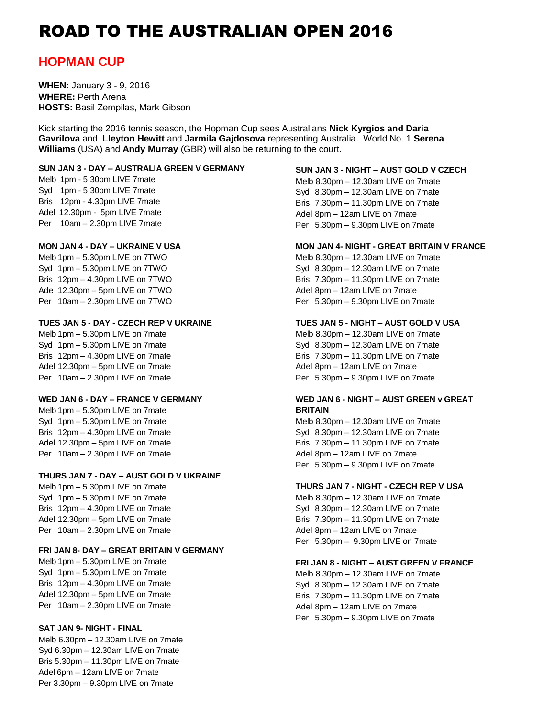# ROAD TO THE AUSTRALIAN OPEN 2016

## **HOPMAN CUP**

**WHEN:** January 3 - 9, 2016 **WHERE:** Perth Arena **HOSTS:** Basil Zempilas, Mark Gibson

Kick starting the 2016 tennis season, the Hopman Cup sees Australians **Nick Kyrgios and Daria Gavrilova** and **Lleyton Hewitt** and **Jarmila Gajdosova** representing Australia. World No. 1 **Serena Williams** (USA) and **Andy Murray** (GBR) will also be returning to the court.

### **SUN JAN 3 - DAY – AUSTRALIA GREEN V GERMANY**

Melb 1pm - 5.30pm LIVE 7mate Syd 1pm - 5.30pm LIVE 7mate Bris 12pm - 4.30pm LIVE 7mate Adel 12.30pm - 5pm LIVE 7mate Per 10am – 2.30pm LIVE 7mate

### **MON JAN 4 - DAY – UKRAINE V USA**

Melb 1pm – 5.30pm LIVE on 7TWO Syd 1pm – 5.30pm LIVE on 7TWO Bris 12pm – 4.30pm LIVE on 7TWO Ade 12.30pm – 5pm LIVE on 7TWO Per 10am – 2.30pm LIVE on 7TWO

### **TUES JAN 5 - DAY - CZECH REP V UKRAINE**

Melb 1pm – 5.30pm LIVE on 7mate Syd 1pm – 5.30pm LIVE on 7mate Bris 12pm – 4.30pm LIVE on 7mate Adel 12.30pm – 5pm LIVE on 7mate Per 10am – 2.30pm LIVE on 7mate

### **WED JAN 6 - DAY – FRANCE V GERMANY**

Melb 1pm – 5.30pm LIVE on 7mate Syd 1pm – 5.30pm LIVE on 7mate Bris 12pm – 4.30pm LIVE on 7mate Adel 12.30pm – 5pm LIVE on 7mate Per 10am – 2.30pm LIVE on 7mate

### **THURS JAN 7 - DAY – AUST GOLD V UKRAINE**

Melb 1pm – 5.30pm LIVE on 7mate Syd 1pm – 5.30pm LIVE on 7mate Bris 12pm – 4.30pm LIVE on 7mate Adel 12.30pm – 5pm LIVE on 7mate Per 10am – 2.30pm LIVE on 7mate

### **FRI JAN 8- DAY – GREAT BRITAIN V GERMANY**

Melb 1pm – 5.30pm LIVE on 7mate Syd 1pm – 5.30pm LIVE on 7mate Bris 12pm – 4.30pm LIVE on 7mate Adel 12.30pm – 5pm LIVE on 7mate Per 10am – 2.30pm LIVE on 7mate

### **SAT JAN 9- NIGHT - FINAL**

Melb 6.30pm – 12.30am LIVE on 7mate Syd 6.30pm – 12.30am LIVE on 7mate Bris 5.30pm – 11.30pm LIVE on 7mate Adel 6pm – 12am LIVE on 7mate Per 3.30pm – 9.30pm LIVE on 7mate

### **SUN JAN 3 - NIGHT – AUST GOLD V CZECH**

Melb 8.30pm – 12.30am LIVE on 7mate Syd 8.30pm – 12.30am LIVE on 7mate Bris 7.30pm – 11.30pm LIVE on 7mate Adel 8pm – 12am LIVE on 7mate Per 5.30pm – 9.30pm LIVE on 7mate

### **MON JAN 4- NIGHT - GREAT BRITAIN V FRANCE**

Melb 8.30pm – 12.30am LIVE on 7mate Syd 8.30pm – 12.30am LIVE on 7mate Bris 7.30pm – 11.30pm LIVE on 7mate Adel 8pm – 12am LIVE on 7mate Per 5.30pm – 9.30pm LIVE on 7mate

#### **TUES JAN 5 - NIGHT – AUST GOLD V USA**

Melb 8.30pm – 12.30am LIVE on 7mate Syd 8.30pm – 12.30am LIVE on 7mate Bris 7.30pm – 11.30pm LIVE on 7mate Adel 8pm – 12am LIVE on 7mate Per 5.30pm – 9.30pm LIVE on 7mate

### **WED JAN 6 - NIGHT – AUST GREEN v GREAT BRITAIN**

Melb 8.30pm – 12.30am LIVE on 7mate Syd 8.30pm – 12.30am LIVE on 7mate Bris 7.30pm – 11.30pm LIVE on 7mate Adel 8pm – 12am LIVE on 7mate Per 5.30pm – 9.30pm LIVE on 7mate

### **THURS JAN 7 - NIGHT - CZECH REP V USA**

Melb 8.30pm – 12.30am LIVE on 7mate Syd 8.30pm – 12.30am LIVE on 7mate Bris 7.30pm – 11.30pm LIVE on 7mate Adel 8pm – 12am LIVE on 7mate Per 5.30pm – 9.30pm LIVE on 7mate

### **FRI JAN 8 - NIGHT – AUST GREEN V FRANCE**

Melb 8.30pm – 12.30am LIVE on 7mate Syd 8.30pm – 12.30am LIVE on 7mate Bris 7.30pm – 11.30pm LIVE on 7mate Adel 8pm – 12am LIVE on 7mate Per 5.30pm – 9.30pm LIVE on 7mate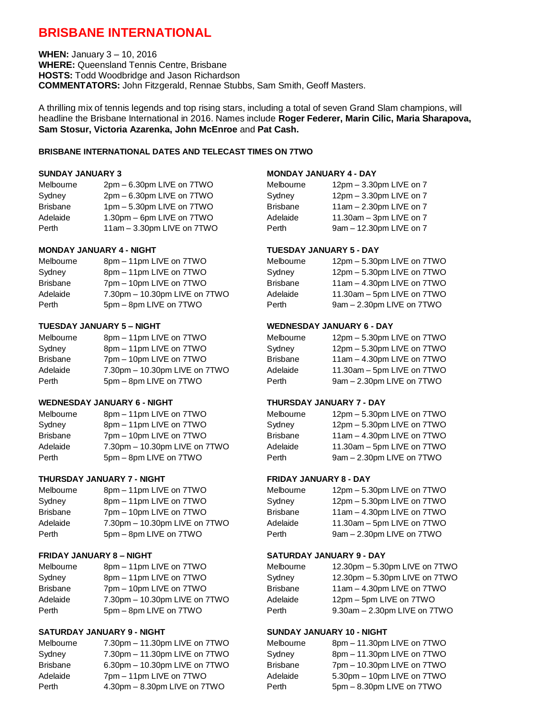# **BRISBANE INTERNATIONAL**

**WHEN:** January 3 – 10, 2016 **WHERE:** Queensland Tennis Centre, Brisbane **HOSTS:** Todd Woodbridge and Jason Richardson **COMMENTATORS:** John Fitzgerald, Rennae Stubbs, Sam Smith, Geoff Masters.

A thrilling mix of tennis legends and top rising stars, including a total of seven Grand Slam champions, will headline the Brisbane International in 2016. Names include **Roger Federer, Marin Cilic, Maria Sharapova, Sam Stosur, Victoria Azarenka, John McEnroe** and **Pat Cash.**

### **BRISBANE INTERNATIONAL DATES AND TELECAST TIMES ON 7TWO**

| Melbourne       | 2pm – 6.30pm LIVE on 7TWO  | Melbourne | 12pm - 3.30pm LIVE on 7 |
|-----------------|----------------------------|-----------|-------------------------|
| Sydney          | 2pm – 6.30pm LIVE on 7TWO  | Sydney    | 12pm - 3.30pm LIVE on 7 |
| <b>Brisbane</b> | 1pm - 5.30pm LIVE on 7TWO  | Brisbane  | 11am - 2.30pm LIVE on 7 |
| Adelaide        | 1.30pm - 6pm LIVE on 7TWO  | Adelaide  | 11.30am - 3pm LIVE on 7 |
| Perth           | 11am - 3.30pm LIVE on 7TWO | Perth     | 9am - 12.30pm LIVE on 7 |

### **MONDAY JANUARY 4 - NIGHT TUESDAY JANUARY 5 - DAY**

| Melbourne       | 8pm - 11pm LIVE on 7TWO       | Melbourne       | 12pm - 5.30pm LIVE on 7TWO |
|-----------------|-------------------------------|-----------------|----------------------------|
| Sydney          | 8pm - 11pm LIVE on 7TWO       | Sydney          | 12pm - 5.30pm LIVE on 7TWO |
| <b>Brisbane</b> | 7pm - 10pm LIVE on 7TWO       | <b>Brisbane</b> | 11am - 4.30pm LIVE on 7TWO |
| Adelaide        | 7.30pm - 10.30pm LIVE on 7TWO | Adelaide        | 11.30am - 5pm LIVE on 7TWO |
| Perth           | 5pm - 8pm LIVE on 7TWO        | Perth           | 9am – 2.30pm LIVE on 7TWO  |

| Melbourne       | 8pm - 11pm LIVE on 7TWO       | Melbourne       | 12pm - 5.30pm LIVE on 7TWO |
|-----------------|-------------------------------|-----------------|----------------------------|
| Sydney          | 8pm - 11pm LIVE on 7TWO       | Sydney          | 12pm - 5.30pm LIVE on 7TWO |
| <b>Brisbane</b> | 7pm - 10pm LIVE on 7TWO       | <b>Brisbane</b> | 11am - 4.30pm LIVE on 7TWO |
| Adelaide        | 7.30pm - 10.30pm LIVE on 7TWO | Adelaide        | 11.30am - 5pm LIVE on 7TWO |
| Perth           | 5pm – 8pm LIVE on 7TWO        | Perth           | 9am – 2.30pm LIVE on 7TWO  |

### **WEDNESDAY JANUARY 6 - NIGHT THURSDAY JANUARY 7 - DAY**

| Melbourne       | 8pm - 11pm LIVE on 7TWO       | Melbourne       | 12pm - 5.30pm LIVE on 7TWO |
|-----------------|-------------------------------|-----------------|----------------------------|
| Sydney          | 8pm - 11pm LIVE on 7TWO       | Sydney          | 12pm - 5.30pm LIVE on 7TWO |
| <b>Brisbane</b> | 7pm - 10pm LIVE on 7TWO       | <b>Brisbane</b> | 11am - 4.30pm LIVE on 7TWO |
| Adelaide        | 7.30pm - 10.30pm LIVE on 7TWO | Adelaide        | 11.30am - 5pm LIVE on 7TWO |
| Perth           | 5pm – 8pm LIVE on 7TWO        | Perth           | 9am - 2.30pm LIVE on 7TWO  |

### **THURSDAY JANUARY 7 - NIGHT FRIDAY JANUARY 8 - DAY**

| Melbourne       | 8pm - 11pm LIVE on 7TWO       | Melbourne       | 12pm - 5.30pm LIVE on 7TWO |
|-----------------|-------------------------------|-----------------|----------------------------|
| Sydney          | 8pm - 11pm LIVE on 7TWO       | Sydney          | 12pm - 5.30pm LIVE on 7TWO |
| <b>Brisbane</b> | 7pm - 10pm LIVE on 7TWO       | <b>Brisbane</b> | 11am - 4.30pm LIVE on 7TWO |
| Adelaide        | 7.30pm - 10.30pm LIVE on 7TWO | Adelaide        | 11.30am - 5pm LIVE on 7TWO |
| Perth           | 5pm - 8pm LIVE on 7TWO        | Perth           | 9am – 2.30pm LIVE on 7TWO  |

| Melbourne       | 8pm - 11pm LIVE on 7TWO       | Melbourne       | 12.30pm - 5.30pm LIVE on 7TW |
|-----------------|-------------------------------|-----------------|------------------------------|
| Sydney          | 8pm - 11pm LIVE on 7TWO       | Sydney          | 12.30pm - 5.30pm LIVE on 7TW |
| <b>Brisbane</b> | 7pm - 10pm LIVE on 7TWO       | <b>Brisbane</b> | 11am - 4.30pm LIVE on 7TWO   |
| Adelaide        | 7.30pm - 10.30pm LIVE on 7TWO | Adelaide        | 12pm - 5pm LIVE on 7TWO      |
| Perth           | 5pm - 8pm LIVE on 7TWO        | Perth           | 9.30am - 2.30pm LIVE on 7TWO |

### **SATURDAY JANUARY 9 - NIGHT SUNDAY JANUARY 10 - NIGHT**

| Melbourne       | 7.30pm - 11.30pm LIVE on 7TWO  | Melbourne       | 8pm - 11.30pm LIVE on 7TWO |
|-----------------|--------------------------------|-----------------|----------------------------|
| Sydney          | 7.30pm - 11.30pm LIVE on 7TWO  | Sydney          | 8pm - 11.30pm LIVE on 7TWO |
| <b>Brisbane</b> | 6.30pm - 10.30pm LIVE on 7TWO  | <b>Brisbane</b> | 7pm - 10.30pm LIVE on 7TWO |
| Adelaide        | 7pm - 11pm LIVE on 7TWO        | Adelaide        | 5.30pm - 10pm LIVE on 7TWO |
| Perth           | $4.30pm - 8.30pm$ LIVE on 7TWO | Perth           | 5pm – 8.30pm LIVE on 7TWO  |

#### **SUNDAY JANUARY 3 MONDAY JANUARY 4 - DAY**

| lelbourne | 12pm - 3.30pm LIVE on 7 |
|-----------|-------------------------|
| vdnev     | 12pm - 3.30pm LIVE on 7 |
| risbane   | 11am - 2.30pm LIVE on 7 |
| delaide   | 11.30am - 3pm LIVE on 7 |
| erth      | 9am - 12.30pm LIVE on 7 |
|           |                         |

| Melbourne       | 12pm - 5.30pm LIVE on 7TWO |
|-----------------|----------------------------|
| Sydney          | 12pm - 5.30pm LIVE on 7TWO |
| <b>Brisbane</b> | 11am - 4.30pm LIVE on 7TWO |
| Adelaide        | 11.30am - 5pm LIVE on 7TWO |
| Perth           | 9am - 2.30pm LIVE on 7TWO  |

### **TUESDAY JANUARY 5 – NIGHT WEDNESDAY JANUARY 6 - DAY**

| Melbourne       | 12pm - 5.30pm LIVE on 7TWO |
|-----------------|----------------------------|
| Sydney          | 12pm - 5.30pm LIVE on 7TWO |
| <b>Brisbane</b> | 11am - 4.30pm LIVE on 7TWO |
| Adelaide        | 11.30am - 5pm LIVE on 7TWO |
| Perth           | 9am - 2.30pm LIVE on 7TWO  |
|                 |                            |

| Melbourne | 12pm - 5.30pm LIVE on 7TWO |
|-----------|----------------------------|
| Svdnev    | 12pm - 5.30pm LIVE on 7TWO |
| Brisbane  | 11am - 4.30pm LIVE on 7TWO |
| Adelaide  | 11.30am - 5pm LIVE on 7TWO |
| Perth     | 9am - 2.30pm LIVE on 7TWO  |

| Melbourne       | 12pm - 5.30pm LIVE on 7TWO |
|-----------------|----------------------------|
| Sydnev          | 12pm - 5.30pm LIVE on 7TWO |
| <b>Brisbane</b> | 11am - 4.30pm LIVE on 7TWO |
| Adelaide        | 11.30am - 5pm LIVE on 7TWO |
| Perth           | 9am - 2.30pm LIVE on 7TWO  |
|                 |                            |

### **FRIDAY JANUARY 8 – NIGHT SATURDAY JANUARY 9 - DAY**

| Melbourne | 8pm - 11pm LIVE on 7TWO       | Melbourne       | 12.30pm - 5.30pm LIVE on 7TWO |
|-----------|-------------------------------|-----------------|-------------------------------|
| Sydney    | 8pm - 11pm LIVE on 7TWO       | Sydney          | 12.30pm - 5.30pm LIVE on 7TWO |
| Brisbane  | 7pm - 10pm LIVE on 7TWO       | <b>Brisbane</b> | 11am - 4.30pm LIVE on 7TWO    |
| Adelaide  | 7.30pm - 10.30pm LIVE on 7TWO | Adelaide        | 12pm - 5pm LIVE on 7TWO       |
| Perth     | 5pm - 8pm LIVE on 7TWO        | Perth           | 9.30am - 2.30pm LIVE on 7TWO  |

| Melbourne       | 8pm - 11.30pm LIVE on 7TWO |
|-----------------|----------------------------|
| Sydney          | 8pm - 11.30pm LIVE on 7TWO |
| <b>Brisbane</b> | 7pm - 10.30pm LIVE on 7TWO |
| Adelaide        | 5.30pm - 10pm LIVE on 7TWO |
| Perth           | 5pm - 8.30pm LIVE on 7TWO  |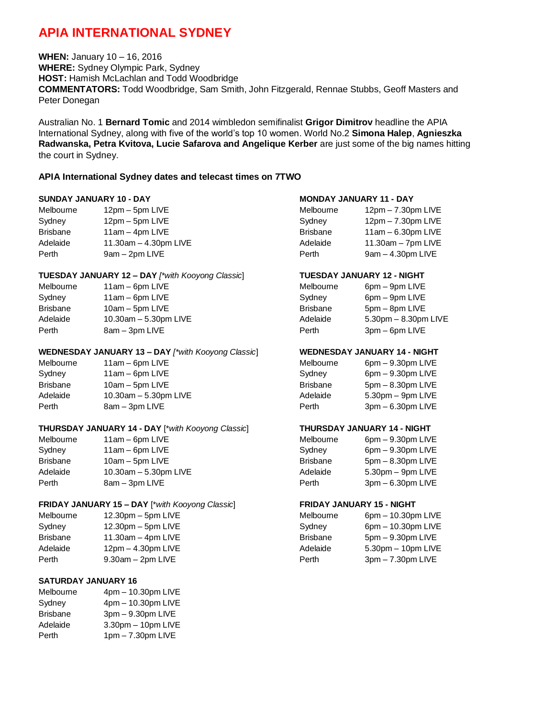# **APIA INTERNATIONAL SYDNEY**

**WHEN:** January 10 – 16, 2016 **WHERE:** Sydney Olympic Park, Sydney **HOST:** Hamish McLachlan and Todd Woodbridge **COMMENTATORS:** Todd Woodbridge, Sam Smith, John Fitzgerald, Rennae Stubbs, Geoff Masters and Peter Donegan

Australian No. 1 **Bernard Tomic** and 2014 wimbledon semifinalist **Grigor Dimitrov** headline the APIA International Sydney, along with five of the world's top 10 women. World No.2 **Simona Halep**, **Agnieszka Radwanska, Petra Kvitova, Lucie Safarova and Angelique Kerber** are just some of the big names hitting the court in Sydney.

#### **APIA International Sydney dates and telecast times on 7TWO**

#### **SUNDAY JANUARY 10 - DAY MONDAY JANUARY 11 - DAY**

| Melbourne       | $12pm - 5pm$ LIVE     | Melbourne       | $12pm - 7.30pm$ LIVE |
|-----------------|-----------------------|-----------------|----------------------|
| Sydney          | $12$ pm $-$ 5pm LIVE  | Svdnev          | $12pm - 7.30pm$ LIVE |
| <b>Brisbane</b> | $11am - 4pm LIVE$     | <b>Brisbane</b> | $11am - 6.30pm LIVE$ |
| Adelaide        | 11.30am - 4.30pm LIVE | Adelaide        | 11.30am – 7pm LIVE   |
| Perth           | 9am – 2pm LIVE        | Perth           | $9am - 4.30pm$ LIVE  |

### **TUESDAY JANUARY 12 – DAY** *[\*with Kooyong Classic*] **TUESDAY JANUARY 12 - NIGHT**

| Melbourne       | $11am - 6pm$ LIVE       | Melbourne       | $6pm - 9pm$ LIVE           |
|-----------------|-------------------------|-----------------|----------------------------|
| Sydney          | $11am - 6pm$ LIVE       | Sydnev          | $6pm - 9pm$ LIVE           |
| <b>Brisbane</b> | $10am - 5pm$ LIVE       | <b>Brisbane</b> | 5pm – 8pm LIVE             |
| Adelaide        | 10.30am $-$ 5.30pm LIVE | Adelaide        | $5.30$ pm $- 8.30$ pm LIVE |
| Perth           | 8am – 3pm LIVE          | Perth           | $3pm - 6pm$ LIVE           |

#### **WEDNESDAY JANUARY 13 – DAY** *[\*with Kooyong Classic*] **WEDNESDAY JANUARY 14 - NIGHT**

| Melbourne       | 11am – 6pm LIVE       | Melbourne       | $6$ pm $-9.30$ pm LIVE |
|-----------------|-----------------------|-----------------|------------------------|
| Svdnev          | $11am - 6dm$ LIVE     | Sydnev          | $6$ pm $-9.30$ pm LIVE |
| <b>Brisbane</b> | $10am - 5pm LIVE$     | <b>Brisbane</b> | $5$ pm $-$ 8.30pm LIVE |
| Adelaide        | 10.30am - 5.30pm LIVE | Adelaide        | $5.30$ pm $-$ 9pm LIVE |
| Perth           | 8am – 3pm LIVE        | Perth           | $3$ pm $-6.30$ pm LIVE |

### **THURSDAY JANUARY 14 - DAY** [\**with Kooyong Classic*] **THURSDAY JANUARY 14 - NIGHT**

| Melbourne       | $11am - 6pm$ LIVE       | Melbourne       | $6$ pm $-9.30$ pm LIVE |
|-----------------|-------------------------|-----------------|------------------------|
| Sydney          | $11am - 6pm$ LIVE       | Sydnev          | $6$ pm $-9.30$ pm LIVE |
| <b>Brisbane</b> | $10am - 5pm LIVE$       | <b>Brisbane</b> | $5$ pm $-$ 8.30pm LIVE |
| Adelaide        | 10.30am $-$ 5.30pm LIVE | Adelaide        | $5.30$ pm $-$ 9pm LIVE |
| Perth           | 8am – 3pm LIVE          | Perth           | $3$ pm $-6.30$ pm LIVE |

### **FRIDAY JANUARY 15 – DAY** [\**with Kooyong Classic*] **FRIDAY JANUARY 15 - NIGHT**

| 12.30pm – 5pm LIVE      | Melbourne       | $6$ pm $-$ 10.30pm LIVE |
|-------------------------|-----------------|-------------------------|
| $12.30pm - 5pm$ LIVE    | Svdnev          | $6pm - 10.30pm$ LIVE    |
| $11.30$ am $-4$ pm LIVE | <b>Brisbane</b> | $5$ pm $-9.30$ pm LIVE  |
| $12pm - 4.30pm$ LIVE    | Adelaide        | $5.30$ pm $-10$ pm LIVE |
| $9.30$ am $-$ 2pm LIVE  | Perth           | $3pm - 7.30pm$ LIVE     |
|                         |                 |                         |

#### **SATURDAY JANUARY 16**

| Melbourne       | 4pm - 10.30pm LIVE |
|-----------------|--------------------|
| Sydney          | 4pm - 10.30pm LIVE |
| <b>Brisbane</b> | 3pm - 9.30pm LIVE  |
| Adelaide        | 3.30pm - 10pm LIVE |
| Perth           | 1pm - 7.30pm LIVE  |

| <i><b>Aelbourne</b></i> | 12pm - 7.30pm LIVE |
|-------------------------|--------------------|
| svdnev                  | 12pm - 7.30pm LIVE |
| 3risbane                | 11am - 6.30pm LIVE |
| <b>delaide</b>          | 11.30am - 7pm LIVE |
| erth?                   | 9am - 4.30pm LIVE  |

| Melbourne | 6pm - 9pm LIVE       |
|-----------|----------------------|
| Sydney    | 6pm - 9pm LIVE       |
| Brisbane  | 5pm - 8pm LIVE       |
| Adelaide  | 5.30pm - 8.30pm LIVE |
| Perth     | 3pm - 6pm LIVE       |
|           |                      |

| Melbourne | $6$ pm $-9.30$ pm LIVE |
|-----------|------------------------|
| Svdnev    | 6pm - 9.30pm LIVE      |
| Brisbane  | 5pm - 8.30pm LIVE      |
| Adelaide  | 5.30pm - 9pm LIVE      |
| Perth     | 3pm - 6.30pm LIVE      |
|           |                        |

| Melbourne | $6$ pm $-9.30$ pm LIVE |
|-----------|------------------------|
| Svdnev    | 6pm - 9.30pm LIVE      |
| Brisbane  | 5pm - 8.30pm LIVE      |
| Adelaide  | 5.30pm - 9pm LIVE      |
| Perth     | 3pm - 6.30pm LIVE      |
|           |                        |

| 6pm - 10.30pm LIVE |
|--------------------|
| 6pm - 10.30pm LIVE |
| 5pm - 9.30pm LIVE  |
| 5.30pm - 10pm LIVE |
| 3pm - 7.30pm LIVE  |
|                    |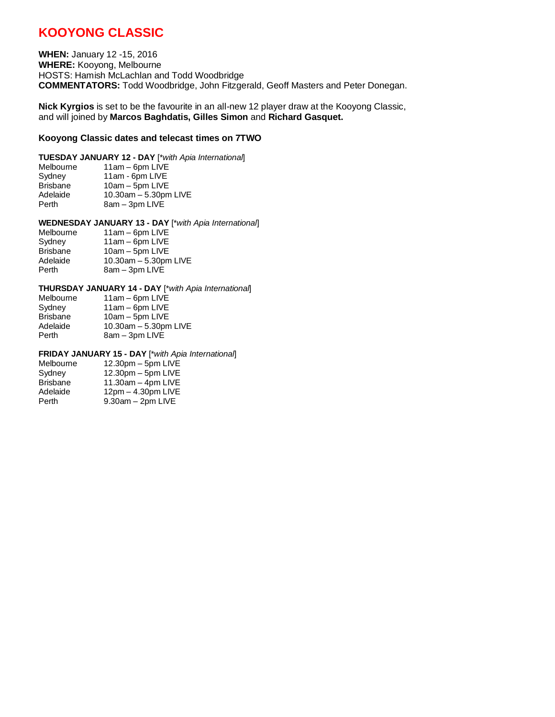# **KOOYONG CLASSIC**

**WHEN:** January 12 -15, 2016 **WHERE:** Kooyong, Melbourne HOSTS: Hamish McLachlan and Todd Woodbridge **COMMENTATORS:** Todd Woodbridge, John Fitzgerald, Geoff Masters and Peter Donegan.

**Nick Kyrgios** is set to be the favourite in an all-new 12 player draw at the Kooyong Classic, and will joined by **Marcos Baghdatis, Gilles Simon** and **Richard Gasquet.**

#### **Kooyong Classic dates and telecast times on 7TWO**

#### **TUESDAY JANUARY 12 - DAY** [\**with Apia International*]

| Melbourne       | $11am - 6pm$ LIVE     |
|-----------------|-----------------------|
| Sydney          | 11am - 6pm LIVE       |
| <b>Brisbane</b> | $10am - 5pm$ LIVE     |
| Adelaide        | 10.30am - 5.30pm LIVE |
| Perth           | 8am - 3pm LIVE        |

#### **WEDNESDAY JANUARY 13 - DAY** [\**with Apia International*]

| Melbourne       | $11am - 6pm$ LIVE     |
|-----------------|-----------------------|
| Sydney          | $11am - 6pm$ LIVE     |
| <b>Brisbane</b> | $10am - 5pm$ LIVE     |
| Adelaide        | 10.30am - 5.30pm LIVE |
| Perth           | 8am - 3pm LIVE        |
|                 |                       |

#### **THURSDAY JANUARY 14 - DAY** [\**with Apia International*]

| Melbourne       | $11am - 6pm$ LIVE     |
|-----------------|-----------------------|
| Sydney          | 11am - 6pm LIVE       |
| <b>Brisbane</b> | $10am - 5pm$ LIVE     |
| Adelaide        | 10.30am - 5.30pm LIVE |
| Perth           | 8am - 3pm LIVE        |

#### **FRIDAY JANUARY 15 - DAY** [\**with Apia International*]

| Melbourne       | $12.30$ pm $-5$ pm LIVE |
|-----------------|-------------------------|
| Sydney          | $12.30$ pm $-$ 5pm LIVE |
| <b>Brisbane</b> | 11.30am $-$ 4pm LIVE    |
| Adelaide        | 12pm - 4.30pm LIVE      |
| Perth           | 9.30am - 2pm LIVE       |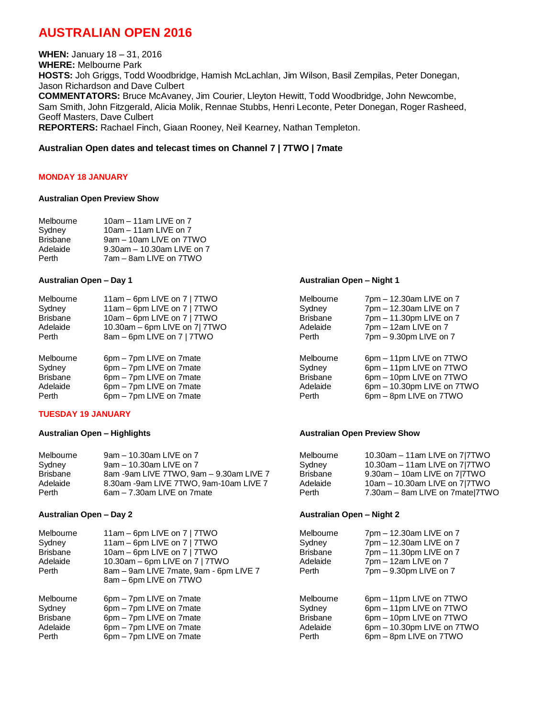## **AUSTRALIAN OPEN 2016**

**WHEN:** January 18 – 31, 2016 **WHERE:** Melbourne Park **HOSTS:** Joh Griggs, Todd Woodbridge, Hamish McLachlan, Jim Wilson, Basil Zempilas, Peter Donegan, Jason Richardson and Dave Culbert **COMMENTATORS:** Bruce McAvaney, Jim Courier, Lleyton Hewitt, Todd Woodbridge, John Newcombe, Sam Smith, John Fitzgerald, Alicia Molik, Rennae Stubbs, Henri Leconte, Peter Donegan, Roger Rasheed, Geoff Masters, Dave Culbert **REPORTERS:** Rachael Finch, Giaan Rooney, Neil Kearney, Nathan Templeton.

### **Australian Open dates and telecast times on Channel 7 | 7TWO | 7mate**

#### **MONDAY 18 JANUARY**

#### **Australian Open Preview Show**

| Melbourne       | 10am - 11am LIVE on 7      |
|-----------------|----------------------------|
| Sydney          | 10am - 11am LIVE on 7      |
| <b>Brisbane</b> | 9am - 10am LIVE on 7TWO    |
| Adelaide        | 9.30am - 10.30am LIVE on 7 |
| Perth           | 7am - 8am LIVE on 7TWO     |
|                 |                            |

| Melbourne       | 11am – 6pm LIVE on 7   7TWO   | Melbourne       | 7pm - 12.30am LIVE on 7    |
|-----------------|-------------------------------|-----------------|----------------------------|
| Sydney          | 11am - 6pm LIVE on 7   7TWO   | Sydney          | 7pm - 12.30am LIVE on 7    |
| <b>Brisbane</b> | 10am - 6pm LIVE on 7   7TWO   | <b>Brisbane</b> | 7pm - 11.30pm LIVE on 7    |
| Adelaide        | 10.30am - 6pm LIVE on 7  7TWO | Adelaide        | 7pm - 12am LIVE on 7       |
| Perth           | 8am - 6pm LIVE on 7   7TWO    | Perth           | 7pm - 9.30pm LIVE on 7     |
| Melbourne       | 6pm - 7pm LIVE on 7mate       | Melbourne       | 6pm - 11pm LIVE on 7TWO    |
| Sydney          | 6pm - 7pm LIVE on 7mate       | Sydney          | 6pm - 11pm LIVE on 7TWO    |
| <b>Brisbane</b> | 6pm - 7pm LIVE on 7mate       | <b>Brisbane</b> | 6pm - 10pm LIVE on 7TWO    |
| Adelaide        | 6pm - 7pm LIVE on 7mate       | Adelaide        | 6pm - 10.30pm LIVE on 7TWO |
| Perth           | 6pm - 7pm LIVE on 7mate       | Perth           | 6pm - 8pm LIVE on 7TWO     |

### **TUESDAY 19 JANUARY**

| Melbourne       | 9am – 10.30am LIVE on 7                 | Melbourne       | 10.30am - 11am LIVE on 7/7TWO   |
|-----------------|-----------------------------------------|-----------------|---------------------------------|
| Sydney          | 9am – 10.30am LIVE on 7                 | Sydney          | 10.30am – 11am LIVE on 7 7TWO   |
| <b>Brisbane</b> | 8am -9am LIVE 7TWO, 9am - 9.30am LIVE 7 | <b>Brisbane</b> | 9.30am – 10am LIVE on 7l7TWO    |
| Adelaide        | 8.30am -9am LIVE 7TWO, 9am-10am LIVE 7  | Adelaide        | 10am – 10.30am LIVE on 7 7TWO   |
| Perth           | 6am – 7.30am LIVE on 7mate              | Perth           | 7.30am – 8am LIVE on 7matel7TWO |

| Melbourne       | 11am – 6pm LIVE on 7   7TWO                                      | Melbourne       | 7pm - 12.30am LIVE on 7    |
|-----------------|------------------------------------------------------------------|-----------------|----------------------------|
| Sydney          | 11am - 6pm LIVE on 7   7TWO                                      | Sydney          | 7pm - 12.30am LIVE on 7    |
| <b>Brisbane</b> | 10am - 6pm LIVE on 7   7TWO                                      | <b>Brisbane</b> | 7pm - 11.30pm LIVE on 7    |
| Adelaide        | 10.30am $-$ 6pm LIVE on 7   7TWO                                 | Adelaide        | 7pm - 12am LIVE on 7       |
| Perth           | 8am - 9am LIVE 7mate, 9am - 6pm LIVE 7<br>8am - 6pm LIVE on 7TWO | Perth           | 7pm - 9.30pm LIVE on 7     |
| Melbourne       | 6pm - 7pm LIVE on 7mate                                          | Melbourne       | 6pm - 11pm LIVE on 7TWO    |
| Sydney          | 6pm - 7pm LIVE on 7mate                                          | Sydney          | 6pm - 11pm LIVE on 7TWO    |
| <b>Brisbane</b> | 6pm - 7pm LIVE on 7mate                                          | <b>Brisbane</b> | 6pm - 10pm LIVE on 7TWO    |
| Adelaide        | 6pm - 7pm LIVE on 7mate                                          | Adelaide        | 6pm - 10.30pm LIVE on 7TWO |
| Perth           | 6pm - 7pm LIVE on 7mate                                          | Perth           | 6pm - 8pm LIVE on 7TWO     |

#### **Australian Open – Day 1 Australian Open – Night 1**

#### **Australian Open – Highlights Australian Open Preview Show Australian Open Preview Show**

| Melbourne       | 10.30am - 11am LIVE on 7 7TWO   |
|-----------------|---------------------------------|
| Sydney          | 10.30am - 11am LIVE on 7 7TWO   |
| <b>Brisbane</b> | 9.30am - 10am LIVE on 7 7TWO    |
| Adelaide        | 10am - 10.30am LIVE on 7 7TWO   |
| Perth           | 7.30am - 8am LIVE on 7mate 7TWO |

#### **Australian Open – Day 2 Australian Open – Night 2**

| ∕lelbourne | 7pm – 12.30am LIVE on 7    |
|------------|----------------------------|
| 3vdnev     | 7pm - 12.30am LIVE on 7    |
| 3risbane   | 7pm - 11.30pm LIVE on 7    |
| Adelaide   | 7pm - 12am LIVE on 7       |
| Perth      | 7pm - 9.30pm LIVE on 7     |
| ∕lelbourne | 6pm - 11pm LIVE on 7TWO    |
| 3vdnev     | 6pm - 11pm LIVE on 7TWO    |
| 3risbane   | 6pm - 10pm LIVE on 7TWO    |
| Adelaide   | 6pm - 10.30pm LIVE on 7TWO |
| Perth      | 6pm - 8pm LIVE on 7TWO     |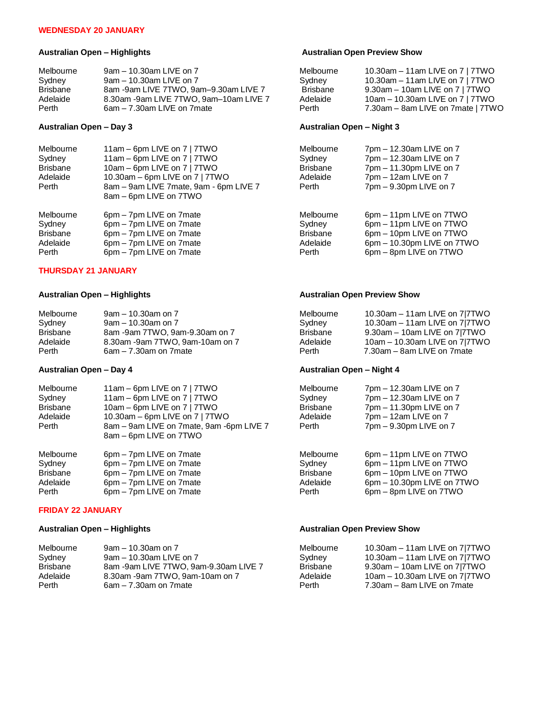### **Australian Open – Highlights Australian Open Preview Show**

| Melbourne       | 9am – 10.30am LIVE on 7                | Melbourne       | 10.30am $-$ 11am LIVE on 7   7TWO   |
|-----------------|----------------------------------------|-----------------|-------------------------------------|
| Sydney          | 9am – 10.30am LIVE on 7                | Sydney          | 10.30am $-$ 11am LIVE on 7   7TWO   |
| <b>Brisbane</b> | 8am -9am LIVE 7TWO, 9am-9.30am LIVE 7  | <b>Brisbane</b> | $9.30$ am $-10$ am LIVE on 7   7TWO |
| Adelaide        | 8.30am -9am LIVE 7TWO, 9am–10am LIVE 7 | Adelaide        | 10am – 10.30am LIVE on 7   7TWO     |
| Perth           | 6am – 7.30am LIVE on 7mate             | Perth           | 7.30am – 8am LIVE on 7mate   7TWO   |

#### **Australian Open – Day 3 Australian Open – Night 3**

| Melbourne       | 11am – 6pm LIVE on 7   7TWO            | Melbourne       | 7pm - 12.30am LIVE on 7    |
|-----------------|----------------------------------------|-----------------|----------------------------|
| Sydney          | 11am – 6pm LIVE on 7   7TWO            | Sydney          | 7pm - 12.30am LIVE on 7    |
| <b>Brisbane</b> | 10am - 6pm LIVE on 7   7TWO            | <b>Brisbane</b> | 7pm - 11.30pm LIVE on 7    |
| Adelaide        | 10.30am $-$ 6pm LIVE on 7   7TWO       | Adelaide        | 7pm - 12am LIVE on 7       |
| Perth           | 8am - 9am LIVE 7mate, 9am - 6pm LIVE 7 | Perth           | 7pm - 9.30pm LIVE on 7     |
|                 | 8am - 6pm LIVE on 7TWO                 |                 |                            |
| Melbourne       | 6pm - 7pm LIVE on 7mate                | Melbourne       | 6pm - 11pm LIVE on 7TWO    |
| Sydney          | 6pm - 7pm LIVE on 7mate                | Sydney          | 6pm - 11pm LIVE on 7TWO    |
| <b>Brisbane</b> | 6pm - 7pm LIVE on 7mate                | <b>Brisbane</b> | 6pm - 10pm LIVE on 7TWO    |
| Adelaide        | 6pm - 7pm LIVE on 7mate                | Adelaide        | 6pm - 10.30pm LIVE on 7TWO |
|                 |                                        |                 |                            |

#### **THURSDAY 21 JANUARY**

| Melbourne       | 9am – 10.30am on 7              | Melbourne       | 10.30am - 11am LIVE on 717TWO |
|-----------------|---------------------------------|-----------------|-------------------------------|
| Sydney          | 9am – 10.30am on 7              | Sydnev          | 10.30am – 11am LIVE on 717TWO |
| <b>Brisbane</b> | 8am -9am 7TWO, 9am-9.30am on 7  | <b>Brisbane</b> | 9.30am – 10am LIVE on 7 7TWO  |
| Adelaide        | 8.30am -9am 7TWO, 9am-10am on 7 | Adelaide        | 10am – 10.30am LIVE on 7 7TWO |
| Perth           | $6am - 7.30am$ on 7 mate        | Perth           | 7.30am – 8am LIVE on 7mate    |

#### Australian Open – Day 4 **Australian Open – Night 4**

| Melbourne       | 11am – 6pm LIVE on 7   7TWO              | Melbourne       | 7pm – 12.30am LIVE on 7    |
|-----------------|------------------------------------------|-----------------|----------------------------|
| Sydney          | 11am – 6pm LIVE on 7   7TWO              | Sydney          | 7pm - 12.30am LIVE on 7    |
| <b>Brisbane</b> | 10am - 6pm LIVE on 7   7TWO              | <b>Brisbane</b> | 7pm - 11.30pm LIVE on 7    |
| Adelaide        | 10.30am - 6pm LIVE on 7   7TWO           | Adelaide        | 7pm – 12am LIVE on 7       |
| Perth           | 8am - 9am LIVE on 7mate, 9am -6pm LIVE 7 | Perth           | 7pm – 9.30pm LIVE on 7     |
|                 | 8am – 6pm LIVE on 7TWO                   |                 |                            |
| Melbourne       | 6pm – 7pm LIVE on 7mate                  | Melbourne       | 6pm - 11pm LIVE on 7TWO    |
| Sydney          | 6pm - 7pm LIVE on 7mate                  | Sydney          | 6pm - 11pm LIVE on 7TWO    |
| <b>Brisbane</b> | 6pm – 7pm LIVE on 7mate                  | <b>Brisbane</b> | 6pm - 10pm LIVE on 7TWO    |
| Adelaide        | 6pm - 7pm LIVE on 7mate                  | Adelaide        | 6pm - 10.30pm LIVE on 7TWO |
| Perth           | 6pm – 7pm LIVE on 7mate                  | Perth           | 6pm – 8pm LIVE on 7TWO     |

#### **FRIDAY 22 JANUARY**

| Melbourne       | 9am – 10.30am on 7                    | Melbourne       | 10.30am - 11am LIVE on 7 7TWO   |
|-----------------|---------------------------------------|-----------------|---------------------------------|
| Sydney          | 9am – 10.30am LIVE on 7               | Sydney          | 10.30am – 11am LIVE on 7 7TWO   |
| <b>Brisbane</b> | 8am -9am LIVE 7TWO, 9am-9.30am LIVE 7 | <b>Brisbane</b> | $9.30$ am – 10am LIVE on 7 7TWO |
| Adelaide        | 8.30am -9am 7TWO, 9am-10am on 7       | Adelaide        | 10am – 10.30am LIVE on 7 7TWO   |
| Perth           | $6$ am $-7.30$ am on 7 mate           | Perth           | 7.30am – 8am LIVE on 7mate      |

| Melbourne       | 10.30am - 11am LIVE on 7   7TWO   |
|-----------------|-----------------------------------|
| Sydney          | 10.30am - 11am LIVE on 7   7TWO   |
| <b>Brisbane</b> | 9.30am - 10am LIVE on 7   7TWO    |
| Adelaide        | 10am - 10.30am LIVE on 7   7TWO   |
| Perth           | 7.30am - 8am LIVE on 7mate   7TWO |

| Melbourne<br>Sydney<br><b>Brisbane</b><br>Adelaide<br>Perth | 11am – 6pm LIVE on 7   7TWO<br>11am - 6pm LIVE on 7   7TWO<br>10am - 6pm LIVE on 7   7TWO<br>10.30am - 6pm LIVE on 7   7TWO<br>8am - 9am LIVE 7mate, 9am - 6pm LIVE 7<br>8am - 6pm LIVE on 7TWO | Melbourne<br>Sydney<br><b>Brisbane</b><br>Adelaide<br>Perth | 7pm - 12.30am LIVE on 7<br>7pm - 12.30am LIVE on 7<br>7pm - 11.30pm LIVE on 7<br>7pm - 12am LIVE on 7<br>7pm - 9.30pm LIVE on 7 |
|-------------------------------------------------------------|-------------------------------------------------------------------------------------------------------------------------------------------------------------------------------------------------|-------------------------------------------------------------|---------------------------------------------------------------------------------------------------------------------------------|
| Melbourne                                                   | 6pm - 7pm LIVE on 7mate                                                                                                                                                                         | Melbourne                                                   | 6pm - 11pm LIVE on 7TWO                                                                                                         |
| Sydney                                                      | 6pm - 7pm LIVE on 7mate                                                                                                                                                                         | Sydney                                                      | 6pm - 11pm LIVE on 7TWO                                                                                                         |
| <b>Brisbane</b>                                             | 6pm - 7pm LIVE on 7mate                                                                                                                                                                         | <b>Brisbane</b>                                             | 6pm - 10pm LIVE on 7TWO                                                                                                         |
| Adelaide                                                    | 6pm - 7pm LIVE on 7mate                                                                                                                                                                         | Adelaide                                                    | 6pm - 10.30pm LIVE on 7TWC                                                                                                      |
| Perth                                                       | 6pm - 7pm LIVE on 7mate                                                                                                                                                                         | Perth                                                       | 6pm - 8pm LIVE on 7TWO                                                                                                          |

#### Australian Open – Highlights **Australian Open Preview Show Australian Open Preview Show**

| Melbourne       | 10.30am - 11am LIVE on 7 7TWO |
|-----------------|-------------------------------|
| Sydney          | 10.30am - 11am LIVE on 7 7TWO |
| <b>Brisbane</b> | 9.30am - 10am LIVE on 7 7TWO  |
| Adelaide        | 10am - 10.30am LIVE on 7 7TWO |
| Perth           | 7.30am - 8am LIVE on 7mate    |
|                 |                               |

| vielpourne | $\gamma$ pm – 12.30am LIVE on $\gamma$ |
|------------|----------------------------------------|
| Svdnev     | 7pm - 12.30am LIVE on 7                |
| 3risbane   | 7pm - 11.30pm LIVE on 7                |
| Adelaide   | 7pm - 12am LIVE on 7                   |
| Perth      | 7pm - 9.30pm LIVE on 7                 |
|            |                                        |
| Melbourne  | 6pm - 11pm LIVE on 7TWC                |
| Sydney     | 6pm - 11pm LIVE on 7TWC                |
| 3risbane   | 6pm - 10pm LIVE on 7TWC                |
| ahielah 4  | $Rnm = 10.30nm$   $N/F$ on $7T$        |

#### Australian Open – Highlights **Australian Open Preview Show**

| Melbourne       | 10.30am - 11am LIVE on 7 7TWO |
|-----------------|-------------------------------|
| Sydney          | 10.30am - 11am LIVE on 7 7TWO |
| <b>Brisbane</b> | 9.30am - 10am LIVE on 7 7TWO  |
| Adelaide        | 10am - 10.30am LIVE on 7 7TWO |
| Perth           | 7.30am - 8am LIVE on 7mate    |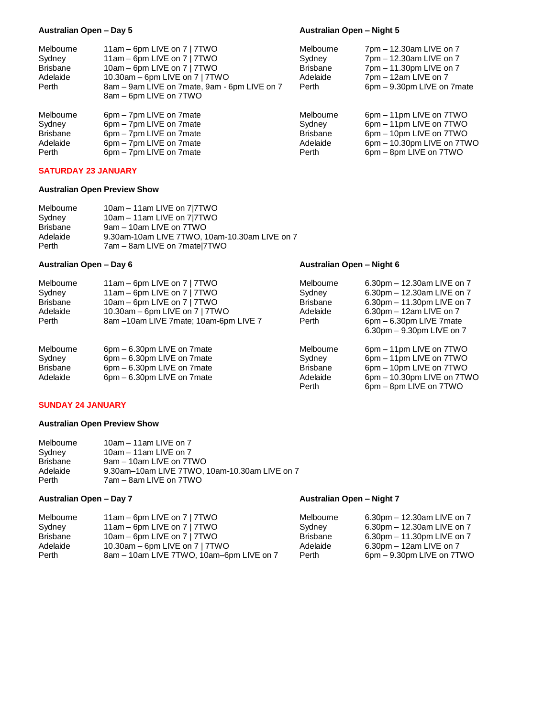#### **Australian Open – Day 5 Australian Open – Night 5**

| Melbourne       | 11am – 6pm LIVE on 7   7TWO                  | Melbourne       | 7pm - 12.30am LIVE on 7    |
|-----------------|----------------------------------------------|-----------------|----------------------------|
| Sydney          | 11am – 6pm LIVE on 7   7TWO                  | Sydney          | 7pm - 12.30am LIVE on 7    |
| <b>Brisbane</b> | 10am - 6pm LIVE on 7   7TWO                  | <b>Brisbane</b> | 7pm - 11.30pm LIVE on 7    |
| Adelaide        | 10.30am $-$ 6pm LIVE on 7   7TWO             | Adelaide        | 7pm – 12am LIVE on 7       |
| Perth           | 8am - 9am LIVE on 7mate, 9am - 6pm LIVE on 7 | Perth           | 6pm - 9.30pm LIVE on 7mate |
|                 | 8am – 6pm LIVE on 7TWO                       |                 |                            |
| Melbourne       | 6pm – 7pm LIVE on 7mate                      | Melbourne       | 6pm - 11pm LIVE on 7TWO    |
| Sydney          | 6pm - 7pm LIVE on 7mate                      | Sydney          | 6pm - 11pm LIVE on 7TWO    |
| <b>Brisbane</b> | 6pm - 7pm LIVE on 7mate                      | <b>Brisbane</b> | 6pm – 10pm LIVE on 7TWO    |
| Adelaide        | 6pm - 7pm LIVE on 7mate                      | Adelaide        | 6pm - 10.30pm LIVE on 7TWO |
| Perth           | 6pm – 7pm LIVE on 7mate                      | Perth           | 6pm – 8pm LIVE on 7TWO     |

#### **SATURDAY 23 JANUARY**

#### **Australian Open Preview Show**

| Melbourne       | 10am - 11am LIVE on 7 7TWO                    |
|-----------------|-----------------------------------------------|
| Sydney          | 10am - 11am LIVE on 7 7TWO                    |
| <b>Brisbane</b> | 9am – 10am LIVE on 7TWO                       |
| Adelaide        | 9.30am-10am LIVE 7TWO, 10am-10.30am LIVE on 7 |
| Perth           | 7am - 8am LIVE on 7mate 7TWO                  |

#### **Australian Open – Day 6 Australian Open – Night 6**

### Melbourne 11am – 6pm LIVE on 7 | 7TWO Melbourne 6.30pm – 12.30am LIVE on 7 Sydney 11am – 6pm LIVE on 7 | 7TWO<br>Brisbane 10am – 6pm LIVE on 7 | 7TWO Brisbane 10am – 6pm LIVE on 7 | 7TWO<br>Adelaide 10.30am – 6pm LIVE on 7 | 7TV Adelaide 10.30am – 6pm LIVE on 7 | 7TWO<br>Perth 8am – 10am LIVE 7mate: 10am – 6pm 8am –10am LIVE 7mate; 10am-6pm LIVE 7 6.30pm – 9.30pm LIVE on 7 Melbourne 6pm – 6.30pm LIVE on 7mate Sydney 6pm – 6.30pm LIVE on 7mate<br>Brisbane 6pm – 6.30pm LIVE on 7mate 6pm – 6.30pm LIVE on 7mate Adelaide 6pm – 6.30pm LIVE on 7mate 6pm – 10.30pm LIVE on 7TWO

#### **SUNDAY 24 JANUARY**

#### **Australian Open Preview Show**

| Melbourne       | $10$ am $-11$ am LIVE on $7$                  |
|-----------------|-----------------------------------------------|
| Sydney          | $10$ am $-11$ am LIVE on 7                    |
| <b>Brisbane</b> | 9am - 10am LIVE on 7TWO                       |
| Adelaide        | 9.30am-10am LIVE 7TWO, 10am-10.30am LIVE on 7 |
| Perth           | 7am – 8am LIVE on 7TWO                        |

#### **Australian Open – Day 7 Australian Open – Night 7**

| Melbourne       | 11am – 6pm LIVE on $7$   $7$ TWO         | Melbourne       | 6.30pm – 12.30am LIVE on 7   |
|-----------------|------------------------------------------|-----------------|------------------------------|
| Sydney          | 11am – 6pm LIVE on $7$   7TWO            | Sydney          | 6.30pm – 12.30am LIVE on 7   |
| <b>Brisbane</b> | $10$ am – 6pm LIVE on 7   7TWO           | <b>Brisbane</b> | 6.30pm $-$ 11.30pm LIVE on 7 |
| Adelaide        | 10.30am $-$ 6pm LIVE on 7   7TWO         | Adelaide        | $6.30$ pm $-12$ am LIVE on 7 |
| Perth           | 8am – 10am LIVE 7TWO, 10am–6pm LIVE on 7 | Perth           | 6pm – 9.30pm LIVE on 7TWO    |

|                 | 0.000.11 12.000.11 2.1 VIII               |
|-----------------|-------------------------------------------|
| Sydney          | 6.30pm - 12.30am LIVE on 7                |
| <b>Brisbane</b> | 6.30pm - 11.30pm LIVE on 7                |
| Adelaide        | 6.30pm - 12am LIVE on 7                   |
| Perth           | 6pm - 6.30pm LIVE 7mate                   |
|                 | 6.30pm - 9.30pm LIVE on 7                 |
| Melbourne       | 6pm - 11pm LIVE on 7TWO                   |
| Sydney          | 6pm - 11pm LIVE on 7TWO                   |
| <b>Brisbane</b> | 6pm - 10pm LIVE on 7TWO                   |
| Adelaide        | $6 \times 10.30$ m I IVE on $7 \times 10$ |

Perth 6pm – 8pm LIVE on 7TWO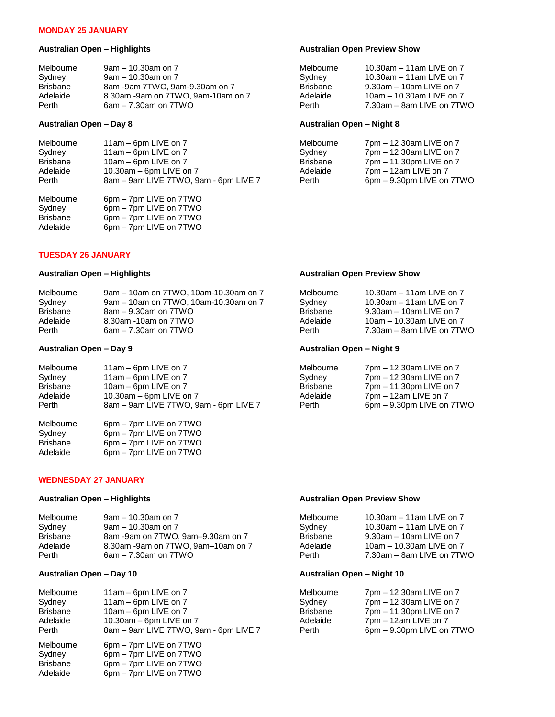| Melbourne       | 9am – 10.30am on 7                 | Melbourne       | 10.30am - 11am LIVE on 7  |
|-----------------|------------------------------------|-----------------|---------------------------|
| Sydney          | $9$ am $-10.30$ am on 7            | Sydney          | 10.30am - 11am LIVE on 7  |
| <b>Brisbane</b> | 8am -9am 7TWO, 9am-9.30am on 7     | <b>Brisbane</b> | 9.30am – 10am LIVE on 7   |
| Adelaide        | 8.30am -9am on 7TWO, 9am-10am on 7 | Adelaide        | 10am – 10.30am LIVE on 7  |
| Perth           | $6$ am $-7.30$ am on $7TWO$        | Perth           | 7.30am – 8am LIVE on 7TWO |

| Melbourne<br>Sydney | 11am $-$ 6pm LIVE on 7<br>$11am - 6pm$ LIVE on 7 | Melbourne<br>Sydney | 7pm – 12.30am LIVE on 7<br>7pm - 12.30am LIVE on 7 |
|---------------------|--------------------------------------------------|---------------------|----------------------------------------------------|
| <b>Brisbane</b>     | 10am - 6pm LIVE on 7                             | <b>Brisbane</b>     | 7pm - 11.30pm LIVE on 7                            |
| Adelaide            | 10.30am $-$ 6pm LIVE on 7                        | Adelaide            | $7$ pm $-12$ am LIVE on $7$                        |
| Perth               | 8am - 9am LIVE 7TWO, 9am - 6pm LIVE 7            | Perth               | 6pm - 9.30pm LIVE on 7TWO                          |
| Melbourne           | 6pm - 7pm LIVE on 7TWO                           |                     |                                                    |
| Sydney              | 6pm - 7pm LIVE on 7TWO                           |                     |                                                    |
| <b>Brisbane</b>     | 6pm - 7pm LIVE on 7TWO                           |                     |                                                    |
| Adelaide            | 6pm - 7pm LIVE on 7TWO                           |                     |                                                    |

### **TUESDAY 26 JANUARY**

| Melbourne       | 9am – 10am on 7TWO, 10am-10.30am on 7 | Melbourne       | 10.30am - 11am LIVE on 7  |
|-----------------|---------------------------------------|-----------------|---------------------------|
| Sydney          | 9am – 10am on 7TWO, 10am-10.30am on 7 | Sydney          | 10.30am - 11am LIVE on 7  |
| <b>Brisbane</b> | 8am – 9.30am on 7TWO                  | <b>Brisbane</b> | 9.30am – 10am LIVE on 7   |
| Adelaide        | 8.30am -10am on 7TWO                  | Adelaide        | 10am – 10.30am LIVE on 7  |
| Perth           | $6$ am $-7.30$ am on $7TWO$           | Perth           | 7.30am – 8am LIVE on 7TWO |

| Melbourne       | 11am $-$ 6pm LIVE on 7                | Melbourne       | 7pm – 12.30am LIVE on 7     |
|-----------------|---------------------------------------|-----------------|-----------------------------|
| Sydney          | $11am - 6pm$ LIVE on 7                | Sydney          | 7pm – 12.30am LIVE on 7     |
| <b>Brisbane</b> | 10am – 6pm LIVE on $7$                | <b>Brisbane</b> | 7pm – 11.30pm LIVE on 7     |
| Adelaide        | 10.30am $-$ 6pm LIVE on 7             | Adelaide        | $7$ pm $-12$ am LIVE on $7$ |
| Perth           | 8am - 9am LIVE 7TWO, 9am - 6pm LIVE 7 | Perth           | 6pm – 9.30pm LIVE on 7TWO   |
| Melbourne       | 6pm - 7pm LIVE on 7TWO                |                 |                             |
| Sydney          | 6pm - 7pm LIVE on 7TWO                |                 |                             |

| <b>Brisbane</b> | 6pm - 7pm LIVE on 7TWO |
|-----------------|------------------------|
| Adelaide        | 6pm - 7pm LIVE on 7TWO |

### **WEDNESDAY 27 JANUARY**

| Melbourne       | 9am – 10.30am on 7                 | Melbourne | 10.30am - 11am LIVE on 7  |
|-----------------|------------------------------------|-----------|---------------------------|
| Sydney          | $9$ am $-10.30$ am on 7            | Sydney    | 10.30am - 11am LIVE on 7  |
| <b>Brisbane</b> | 8am -9am on 7TWO, 9am-9.30am on 7  | Brisbane  | 9.30am – 10am LIVE on 7   |
| Adelaide        | 8.30am -9am on 7TWO, 9am-10am on 7 | Adelaide  | 10am – 10.30am LIVE on 7  |
| Perth           | $6$ am $-7.30$ am on $7TWO$        | Perth     | 7.30am – 8am LIVE on 7TWO |

| Melbourne                                          | 11am $-$ 6pm LIVE on 7                                                                               | Melbourne       | 7pm – 12.30am LIVE on 7   |
|----------------------------------------------------|------------------------------------------------------------------------------------------------------|-----------------|---------------------------|
| Sydney                                             | 11am $-$ 6pm LIVE on 7                                                                               | Sydney          | 7pm - 12.30am LIVE on 7   |
| <b>Brisbane</b>                                    | 10am - 6pm LIVE on 7                                                                                 | <b>Brisbane</b> | 7pm - 11.30pm LIVE on 7   |
| Adelaide                                           | 10.30am - 6pm LIVE on 7                                                                              | Adelaide        | 7pm – 12am LIVE on 7      |
| Perth                                              | 8am - 9am LIVE 7TWO, 9am - 6pm LIVE 7                                                                | Perth           | 6pm - 9.30pm LIVE on 7TWO |
| Melbourne<br>Sydney<br><b>Brisbane</b><br>Adelaide | 6pm - 7pm LIVE on 7TWO<br>6pm - 7pm LIVE on 7TWO<br>6pm - 7pm LIVE on 7TWO<br>6pm - 7pm LIVE on 7TWO |                 |                           |

#### Australian Open – Highlights **Australian Open Preview Show Australian Open Preview Show**

| Melbourne       | 10.30am - 11am LIVE on 7  |
|-----------------|---------------------------|
| Sydney          | 10.30am - 11am LIVE on 7  |
| <b>Brisbane</b> | 9.30am - 10am LIVE on 7   |
| Adelaide        | 10am - 10.30am LIVE on 7  |
| Perth           | 7.30am - 8am LIVE on 7TWO |
|                 |                           |

### Australian Open – Day 8 **Australian Open – Night 8**

| <i><b>Aelbourne</b></i> | 7pm – 12.30am LIVE on 7   |
|-------------------------|---------------------------|
| Sydney                  | 7pm - 12.30am LIVE on 7   |
| 3risbane                | 7pm - 11.30pm LIVE on 7   |
| Adelaide                | 7pm - 12am LIVE on 7      |
| Perth                   | 6pm - 9.30pm LIVE on 7TWO |
|                         |                           |

#### Australian Open – Highlights **Australian Open Preview Show Australian Open Preview Show**

| Melbourne       | 10.30am - 11am LIVE on 7  |
|-----------------|---------------------------|
| Sydney          | 10.30am - 11am LIVE on 7  |
| <b>Brisbane</b> | 9.30am - 10am LIVE on 7   |
| Adelaide        | 10am - 10.30am LIVE on 7  |
| Perth           | 7.30am - 8am LIVE on 7TWO |
|                 |                           |

### **Australian Open – Day 9 Australian Open – Night 9**

| Melbourne       | 7pm - 12.30am LIVE on 7   |
|-----------------|---------------------------|
| Sydney          | 7pm - 12.30am LIVE on 7   |
| <b>Brisbane</b> | 7pm - 11.30pm LIVE on 7   |
| Adelaide        | 7pm - 12am LIVE on 7      |
| Perth           | 6pm - 9.30pm LIVE on 7TWO |
|                 |                           |

#### Australian Open – Highlights **Australian Open Preview Show Australian Open Preview Show**

| Melbourne       | 10.30am - 11am LIVE on 7  |
|-----------------|---------------------------|
| Sydney          | 10.30am - 11am LIVE on 7  |
| <b>Brisbane</b> | 9.30am - 10am LIVE on 7   |
| Adelaide        | 10am - 10.30am LIVE on 7  |
| Perth           | 7.30am - 8am LIVE on 7TWO |

#### **Australian Open – Day 10 Australian Open – Night 10**

| Melbourne | 7pm - 12.30am LIVE on 7   |
|-----------|---------------------------|
| Svdnev    | 7pm - 12.30am LIVE on 7   |
| Brisbane  | 7pm - 11.30pm LIVE on 7   |
| Adelaide  | 7pm - 12am LIVE on 7      |
| Perth     | 6pm - 9.30pm LIVE on 7TWO |